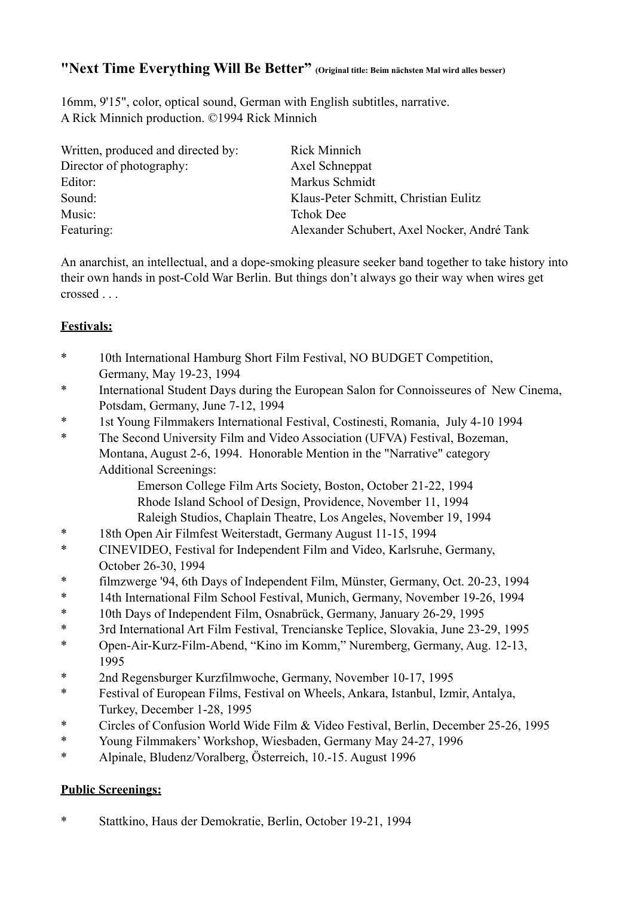# **"Next Time Everything Will Be Better" (Original title: Beim nächsten Mal wird alles besser)**

16mm, 9'15", color, optical sound, German with English subtitles, narrative. A Rick Minnich production. ©1994 Rick Minnich

| Written, produced and directed by: | <b>Rick Minnich</b>                         |
|------------------------------------|---------------------------------------------|
| Director of photography:           | Axel Schneppat                              |
| Editor:                            | Markus Schmidt                              |
| Sound:                             | Klaus-Peter Schmitt, Christian Eulitz       |
| Music:                             | <b>Tchok Dee</b>                            |
| Featuring:                         | Alexander Schubert, Axel Nocker, André Tank |

An anarchist, an intellectual, and a dope-smoking pleasure seeker band together to take history into their own hands in post-Cold War Berlin. But things don't always go their way when wires get crossed . . .

## **Festivals:**

- \* 10th International Hamburg Short Film Festival, NO BUDGET Competition, Germany, May 19-23, 1994
- \* International Student Days during the European Salon for Connoisseures of New Cinema, Potsdam, Germany, June 7-12, 1994
- \* 1st Young Filmmakers International Festival, Costinesti, Romania, July 4-10 1994
- \* The Second University Film and Video Association (UFVA) Festival, Bozeman, Montana, August 2-6, 1994. Honorable Mention in the "Narrative" category Additional Screenings:

 Emerson College Film Arts Society, Boston, October 21-22, 1994 Rhode Island School of Design, Providence, November 11, 1994 Raleigh Studios, Chaplain Theatre, Los Angeles, November 19, 1994

- \* 18th Open Air Filmfest Weiterstadt, Germany August 11-15, 1994
- \* CINEVIDEO, Festival for Independent Film and Video, Karlsruhe, Germany, October 26-30, 1994
- \* filmzwerge '94, 6th Days of Independent Film, Münster, Germany, Oct. 20-23, 1994
- \* 14th International Film School Festival, Munich, Germany, November 19-26, 1994
- \* 10th Days of Independent Film, Osnabrück, Germany, January 26-29, 1995
- \* 3rd International Art Film Festival, Trencianske Teplice, Slovakia, June 23-29, 1995
- \* Open-Air-Kurz-Film-Abend, "Kino im Komm," Nuremberg, Germany, Aug. 12-13, 1995
- \* 2nd Regensburger Kurzfilmwoche, Germany, November 10-17, 1995
- \* Festival of European Films, Festival on Wheels, Ankara, Istanbul, Izmir, Antalya, Turkey, December 1-28, 1995
- \* Circles of Confusion World Wide Film & Video Festival, Berlin, December 25-26, 1995
- \* Young Filmmakers' Workshop, Wiesbaden, Germany May 24-27, 1996
- \* Alpinale, Bludenz/Voralberg, Österreich, 10.-15. August 1996

## **Public Screenings:**

\* Stattkino, Haus der Demokratie, Berlin, October 19-21, 1994